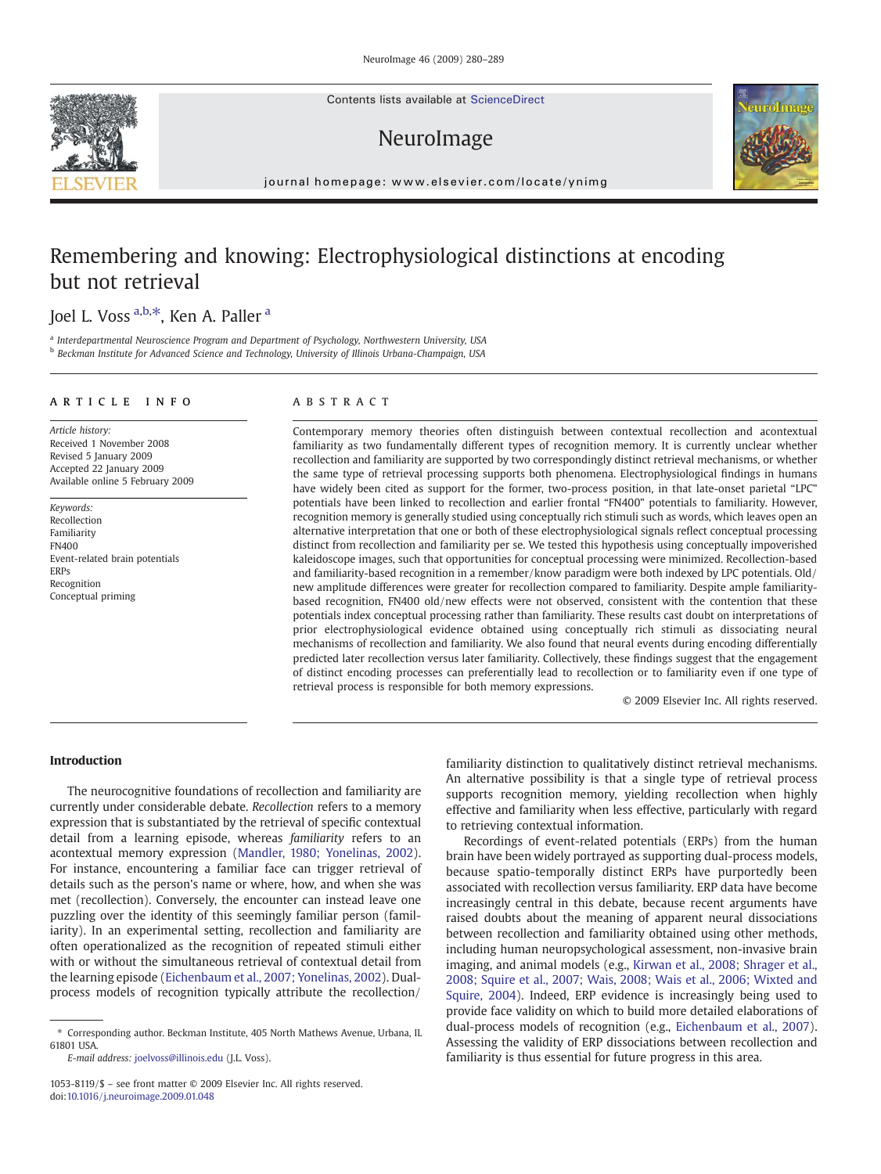Contents lists available at ScienceDirect

## NeuroImage



journal homepage: www.elsevier.com/locate/ynimg

# Remembering and knowing: Electrophysiological distinctions at encoding but not retrieval

### Joel L. Voss <sup>a,b,\*</sup>, Ken A. Paller <sup>a</sup>

a Interdepartmental Neuroscience Program and Department of Psychology, Northwestern University, USA b Beckman Institute for Advanced Science and Technology, University of Illinois Urbana-Champaign, USA

#### article info abstract

Article history: Received 1 November 2008 Revised 5 January 2009 Accepted 22 January 2009 Available online 5 February 2009

Keywords: Recollection Familiarity FN400 Event-related brain potentials ERPs Recognition Conceptual priming

Contemporary memory theories often distinguish between contextual recollection and acontextual familiarity as two fundamentally different types of recognition memory. It is currently unclear whether recollection and familiarity are supported by two correspondingly distinct retrieval mechanisms, or whether the same type of retrieval processing supports both phenomena. Electrophysiological findings in humans have widely been cited as support for the former, two-process position, in that late-onset parietal "LPC" potentials have been linked to recollection and earlier frontal "FN400" potentials to familiarity. However, recognition memory is generally studied using conceptually rich stimuli such as words, which leaves open an alternative interpretation that one or both of these electrophysiological signals reflect conceptual processing distinct from recollection and familiarity per se. We tested this hypothesis using conceptually impoverished kaleidoscope images, such that opportunities for conceptual processing were minimized. Recollection-based and familiarity-based recognition in a remember/know paradigm were both indexed by LPC potentials. Old/ new amplitude differences were greater for recollection compared to familiarity. Despite ample familiaritybased recognition, FN400 old/new effects were not observed, consistent with the contention that these potentials index conceptual processing rather than familiarity. These results cast doubt on interpretations of prior electrophysiological evidence obtained using conceptually rich stimuli as dissociating neural mechanisms of recollection and familiarity. We also found that neural events during encoding differentially predicted later recollection versus later familiarity. Collectively, these findings suggest that the engagement of distinct encoding processes can preferentially lead to recollection or to familiarity even if one type of retrieval process is responsible for both memory expressions.

© 2009 Elsevier Inc. All rights reserved.

#### Introduction

The neurocognitive foundations of recollection and familiarity are currently under considerable debate. Recollection refers to a memory expression that is substantiated by the retrieval of specific contextual detail from a learning episode, whereas familiarity refers to an acontextual memory expression ([Mandler, 1980; Yonelinas, 2002](#page-9-0)). For instance, encountering a familiar face can trigger retrieval of details such as the person's name or where, how, and when she was met (recollection). Conversely, the encounter can instead leave one puzzling over the identity of this seemingly familiar person (familiarity). In an experimental setting, recollection and familiarity are often operationalized as the recognition of repeated stimuli either with or without the simultaneous retrieval of contextual detail from the learning episode ([Eichenbaum et al., 2007; Yonelinas, 2002\)](#page-9-0). Dualprocess models of recognition typically attribute the recollection/

E-mail address: [joelvoss@illinois.edu](mailto:joelvoss@illinois.edu) (J.L. Voss).

1053-8119/\$ – see front matter © 2009 Elsevier Inc. All rights reserved. doi[:10.1016/j.neuroimage.2009.01.048](http://dx.doi.org/10.1016/j.neuroimage.2009.01.048)

familiarity distinction to qualitatively distinct retrieval mechanisms. An alternative possibility is that a single type of retrieval process supports recognition memory, yielding recollection when highly effective and familiarity when less effective, particularly with regard to retrieving contextual information.

Recordings of event-related potentials (ERPs) from the human brain have been widely portrayed as supporting dual-process models, because spatio-temporally distinct ERPs have purportedly been associated with recollection versus familiarity. ERP data have become increasingly central in this debate, because recent arguments have raised doubts about the meaning of apparent neural dissociations between recollection and familiarity obtained using other methods, including human neuropsychological assessment, non-invasive brain imaging, and animal models (e.g., [Kirwan et al., 2008; Shrager et al.,](#page-9-0) [2008; Squire et al., 2007; Wais, 2008; Wais et al., 2006; Wixted and](#page-9-0) [Squire, 2004](#page-9-0)). Indeed, ERP evidence is increasingly being used to provide face validity on which to build more detailed elaborations of dual-process models of recognition (e.g., [Eichenbaum et al., 2007](#page-9-0)). Assessing the validity of ERP dissociations between recollection and familiarity is thus essential for future progress in this area.



<sup>⁎</sup> Corresponding author. Beckman Institute, 405 North Mathews Avenue, Urbana, IL 61801 USA.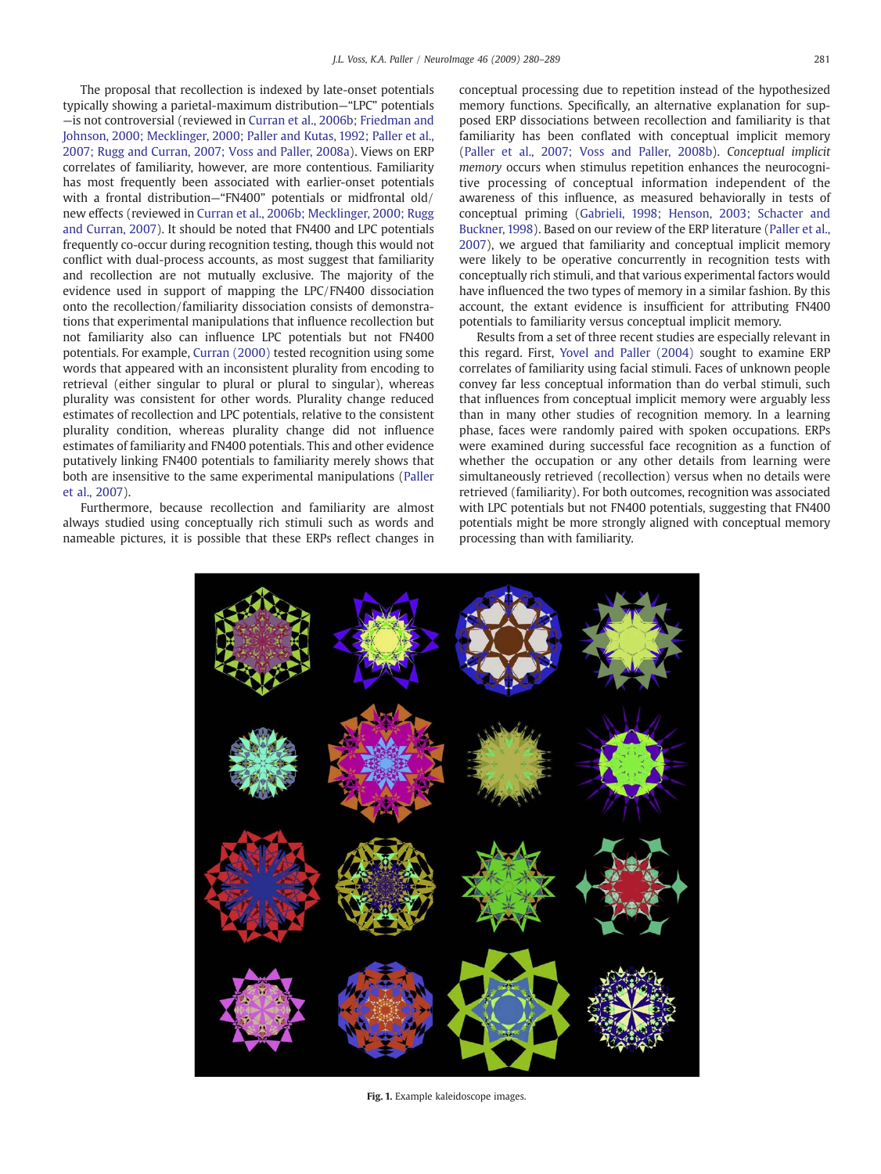<span id="page-1-0"></span>The proposal that recollection is indexed by late-onset potentials typically showing a parietal-maximum distribution—"LPC" potentials —is not controversial (reviewed in [Curran et al., 2006b; Friedman and](#page-9-0) [Johnson, 2000; Mecklinger, 2000; Paller and Kutas, 1992; Paller et al.,](#page-9-0) [2007; Rugg and Curran, 2007; Voss and Paller, 2008a](#page-9-0)). Views on ERP correlates of familiarity, however, are more contentious. Familiarity has most frequently been associated with earlier-onset potentials with a frontal distribution—"FN400" potentials or midfrontal old/ new effects (reviewed in [Curran et al., 2006b; Mecklinger, 2000; Rugg](#page-9-0) [and Curran, 2007\)](#page-9-0). It should be noted that FN400 and LPC potentials frequently co-occur during recognition testing, though this would not conflict with dual-process accounts, as most suggest that familiarity and recollection are not mutually exclusive. The majority of the evidence used in support of mapping the LPC/FN400 dissociation onto the recollection/familiarity dissociation consists of demonstrations that experimental manipulations that influence recollection but not familiarity also can influence LPC potentials but not FN400 potentials. For example, [Curran \(2000\)](#page-8-0) tested recognition using some words that appeared with an inconsistent plurality from encoding to retrieval (either singular to plural or plural to singular), whereas plurality was consistent for other words. Plurality change reduced estimates of recollection and LPC potentials, relative to the consistent plurality condition, whereas plurality change did not influence estimates of familiarity and FN400 potentials. This and other evidence putatively linking FN400 potentials to familiarity merely shows that both are insensitive to the same experimental manipulations [\(Paller](#page-9-0) [et al., 2007](#page-9-0)).

Furthermore, because recollection and familiarity are almost always studied using conceptually rich stimuli such as words and nameable pictures, it is possible that these ERPs reflect changes in conceptual processing due to repetition instead of the hypothesized memory functions. Specifically, an alternative explanation for supposed ERP dissociations between recollection and familiarity is that familiarity has been conflated with conceptual implicit memory [\(Paller et al., 2007; Voss and Paller, 2008b\)](#page-9-0). Conceptual implicit memory occurs when stimulus repetition enhances the neurocognitive processing of conceptual information independent of the awareness of this influence, as measured behaviorally in tests of conceptual priming [\(Gabrieli, 1998; Henson, 2003; Schacter and](#page-9-0) [Buckner, 1998\)](#page-9-0). Based on our review of the ERP literature [\(Paller et al.,](#page-9-0) [2007\)](#page-9-0), we argued that familiarity and conceptual implicit memory were likely to be operative concurrently in recognition tests with conceptually rich stimuli, and that various experimental factors would have influenced the two types of memory in a similar fashion. By this account, the extant evidence is insufficient for attributing FN400 potentials to familiarity versus conceptual implicit memory.

Results from a set of three recent studies are especially relevant in this regard. First, [Yovel and Paller \(2004\)](#page-9-0) sought to examine ERP correlates of familiarity using facial stimuli. Faces of unknown people convey far less conceptual information than do verbal stimuli, such that influences from conceptual implicit memory were arguably less than in many other studies of recognition memory. In a learning phase, faces were randomly paired with spoken occupations. ERPs were examined during successful face recognition as a function of whether the occupation or any other details from learning were simultaneously retrieved (recollection) versus when no details were retrieved (familiarity). For both outcomes, recognition was associated with LPC potentials but not FN400 potentials, suggesting that FN400 potentials might be more strongly aligned with conceptual memory processing than with familiarity.



Fig. 1. Example kaleidoscope images.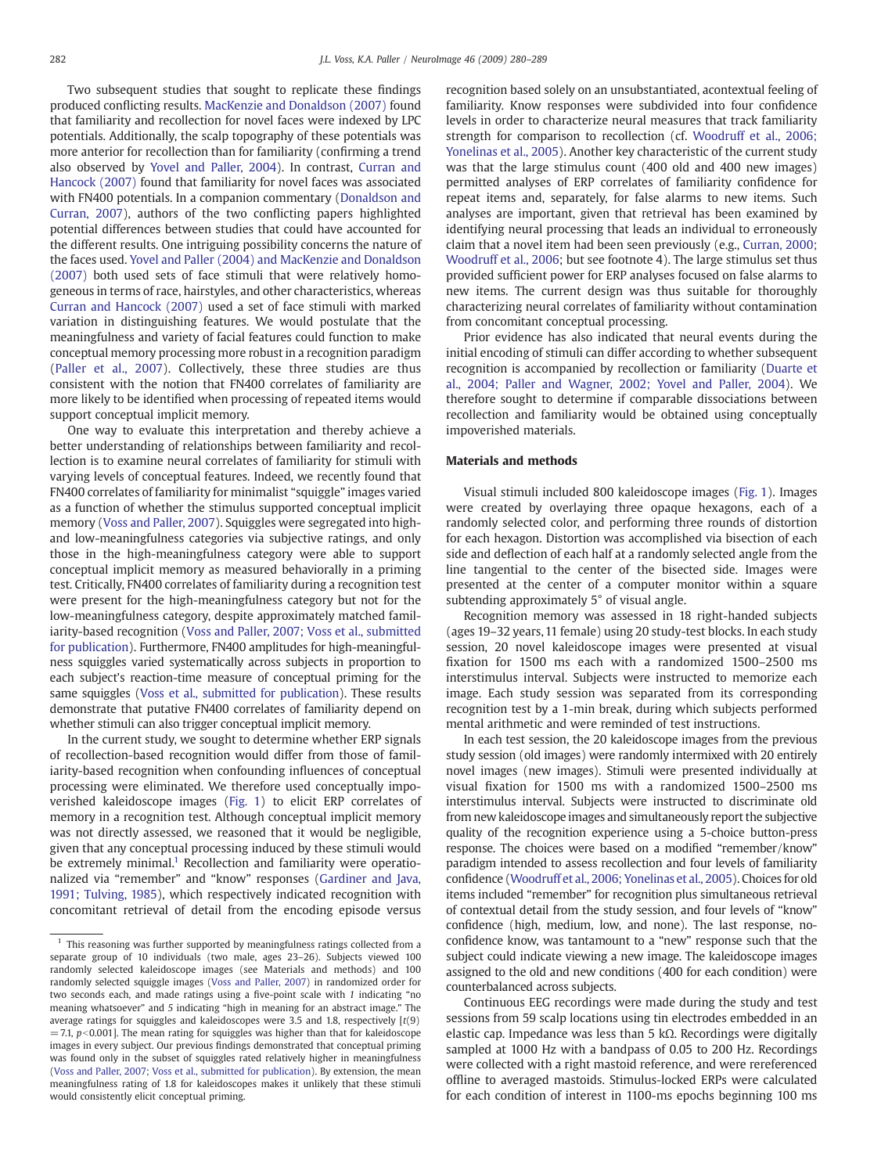Two subsequent studies that sought to replicate these findings produced conflicting results. [MacKenzie and Donaldson \(2007\)](#page-9-0) found that familiarity and recollection for novel faces were indexed by LPC potentials. Additionally, the scalp topography of these potentials was more anterior for recollection than for familiarity (confirming a trend also observed by [Yovel and Paller, 2004\)](#page-9-0). In contrast, [Curran and](#page-8-0) [Hancock \(2007\)](#page-8-0) found that familiarity for novel faces was associated with FN400 potentials. In a companion commentary [\(Donaldson and](#page-9-0) [Curran, 2007](#page-9-0)), authors of the two conflicting papers highlighted potential differences between studies that could have accounted for the different results. One intriguing possibility concerns the nature of the faces used. [Yovel and Paller \(2004\) and MacKenzie and Donaldson](#page-9-0) [\(2007\)](#page-9-0) both used sets of face stimuli that were relatively homogeneous in terms of race, hairstyles, and other characteristics, whereas [Curran and Hancock \(2007\)](#page-8-0) used a set of face stimuli with marked variation in distinguishing features. We would postulate that the meaningfulness and variety of facial features could function to make conceptual memory processing more robust in a recognition paradigm [\(Paller et al., 2007](#page-9-0)). Collectively, these three studies are thus consistent with the notion that FN400 correlates of familiarity are more likely to be identified when processing of repeated items would support conceptual implicit memory.

One way to evaluate this interpretation and thereby achieve a better understanding of relationships between familiarity and recollection is to examine neural correlates of familiarity for stimuli with varying levels of conceptual features. Indeed, we recently found that FN400 correlates of familiarity for minimalist "squiggle" images varied as a function of whether the stimulus supported conceptual implicit memory ([Voss and Paller, 2007](#page-9-0)). Squiggles were segregated into highand low-meaningfulness categories via subjective ratings, and only those in the high-meaningfulness category were able to support conceptual implicit memory as measured behaviorally in a priming test. Critically, FN400 correlates of familiarity during a recognition test were present for the high-meaningfulness category but not for the low-meaningfulness category, despite approximately matched familiarity-based recognition [\(Voss and Paller, 2007; Voss et al., submitted](#page-9-0) [for publication\)](#page-9-0). Furthermore, FN400 amplitudes for high-meaningfulness squiggles varied systematically across subjects in proportion to each subject's reaction-time measure of conceptual priming for the same squiggles ([Voss et al., submitted for publication](#page-9-0)). These results demonstrate that putative FN400 correlates of familiarity depend on whether stimuli can also trigger conceptual implicit memory.

In the current study, we sought to determine whether ERP signals of recollection-based recognition would differ from those of familiarity-based recognition when confounding influences of conceptual processing were eliminated. We therefore used conceptually impoverished kaleidoscope images [\(Fig. 1](#page-1-0)) to elicit ERP correlates of memory in a recognition test. Although conceptual implicit memory was not directly assessed, we reasoned that it would be negligible, given that any conceptual processing induced by these stimuli would be extremely minimal.<sup>1</sup> Recollection and familiarity were operationalized via "remember" and "know" responses [\(Gardiner and Java,](#page-9-0) [1991; Tulving, 1985](#page-9-0)), which respectively indicated recognition with concomitant retrieval of detail from the encoding episode versus recognition based solely on an unsubstantiated, acontextual feeling of familiarity. Know responses were subdivided into four confidence levels in order to characterize neural measures that track familiarity strength for comparison to recollection (cf. [Woodruff et al., 2006;](#page-9-0) [Yonelinas et al., 2005\)](#page-9-0). Another key characteristic of the current study was that the large stimulus count (400 old and 400 new images) permitted analyses of ERP correlates of familiarity confidence for repeat items and, separately, for false alarms to new items. Such analyses are important, given that retrieval has been examined by identifying neural processing that leads an individual to erroneously claim that a novel item had been seen previously (e.g., [Curran, 2000;](#page-8-0) [Woodruff et al., 2006](#page-8-0); but see footnote 4). The large stimulus set thus provided sufficient power for ERP analyses focused on false alarms to new items. The current design was thus suitable for thoroughly characterizing neural correlates of familiarity without contamination from concomitant conceptual processing.

Prior evidence has also indicated that neural events during the initial encoding of stimuli can differ according to whether subsequent recognition is accompanied by recollection or familiarity [\(Duarte et](#page-9-0) [al., 2004; Paller and Wagner, 2002; Yovel and Paller, 2004\)](#page-9-0). We therefore sought to determine if comparable dissociations between recollection and familiarity would be obtained using conceptually impoverished materials.

#### Materials and methods

Visual stimuli included 800 kaleidoscope images ([Fig. 1](#page-1-0)). Images were created by overlaying three opaque hexagons, each of a randomly selected color, and performing three rounds of distortion for each hexagon. Distortion was accomplished via bisection of each side and deflection of each half at a randomly selected angle from the line tangential to the center of the bisected side. Images were presented at the center of a computer monitor within a square subtending approximately 5° of visual angle.

Recognition memory was assessed in 18 right-handed subjects (ages 19–32 years, 11 female) using 20 study-test blocks. In each study session, 20 novel kaleidoscope images were presented at visual fixation for 1500 ms each with a randomized 1500–2500 ms interstimulus interval. Subjects were instructed to memorize each image. Each study session was separated from its corresponding recognition test by a 1-min break, during which subjects performed mental arithmetic and were reminded of test instructions.

In each test session, the 20 kaleidoscope images from the previous study session (old images) were randomly intermixed with 20 entirely novel images (new images). Stimuli were presented individually at visual fixation for 1500 ms with a randomized 1500–2500 ms interstimulus interval. Subjects were instructed to discriminate old from new kaleidoscope images and simultaneously report the subjective quality of the recognition experience using a 5-choice button-press response. The choices were based on a modified "remember/know" paradigm intended to assess recollection and four levels of familiarity confidence [\(Woodruff et al., 2006; Yonelinas et al., 2005](#page-9-0)). Choices for old items included "remember" for recognition plus simultaneous retrieval of contextual detail from the study session, and four levels of "know" confidence (high, medium, low, and none). The last response, noconfidence know, was tantamount to a "new" response such that the subject could indicate viewing a new image. The kaleidoscope images assigned to the old and new conditions (400 for each condition) were counterbalanced across subjects.

Continuous EEG recordings were made during the study and test sessions from 59 scalp locations using tin electrodes embedded in an elastic cap. Impedance was less than 5 kΩ. Recordings were digitally sampled at 1000 Hz with a bandpass of 0.05 to 200 Hz. Recordings were collected with a right mastoid reference, and were rereferenced offline to averaged mastoids. Stimulus-locked ERPs were calculated for each condition of interest in 1100-ms epochs beginning 100 ms

 $1$  This reasoning was further supported by meaningfulness ratings collected from a separate group of 10 individuals (two male, ages 23–26). Subjects viewed 100 randomly selected kaleidoscope images (see Materials and methods) and 100 randomly selected squiggle images ([Voss and Paller, 2007](#page-9-0)) in randomized order for two seconds each, and made ratings using a five-point scale with 1 indicating "no meaning whatsoever" and 5 indicating "high in meaning for an abstract image." The average ratings for squiggles and kaleidoscopes were 3.5 and 1.8, respectively [t(9)  $=$  7.1, p<0.001]. The mean rating for squiggles was higher than that for kaleidoscope images in every subject. Our previous findings demonstrated that conceptual priming was found only in the subset of squiggles rated relatively higher in meaningfulness ([Voss and Paller, 2007; Voss et al., submitted for publication](#page-9-0)). By extension, the mean meaningfulness rating of 1.8 for kaleidoscopes makes it unlikely that these stimuli would consistently elicit conceptual priming.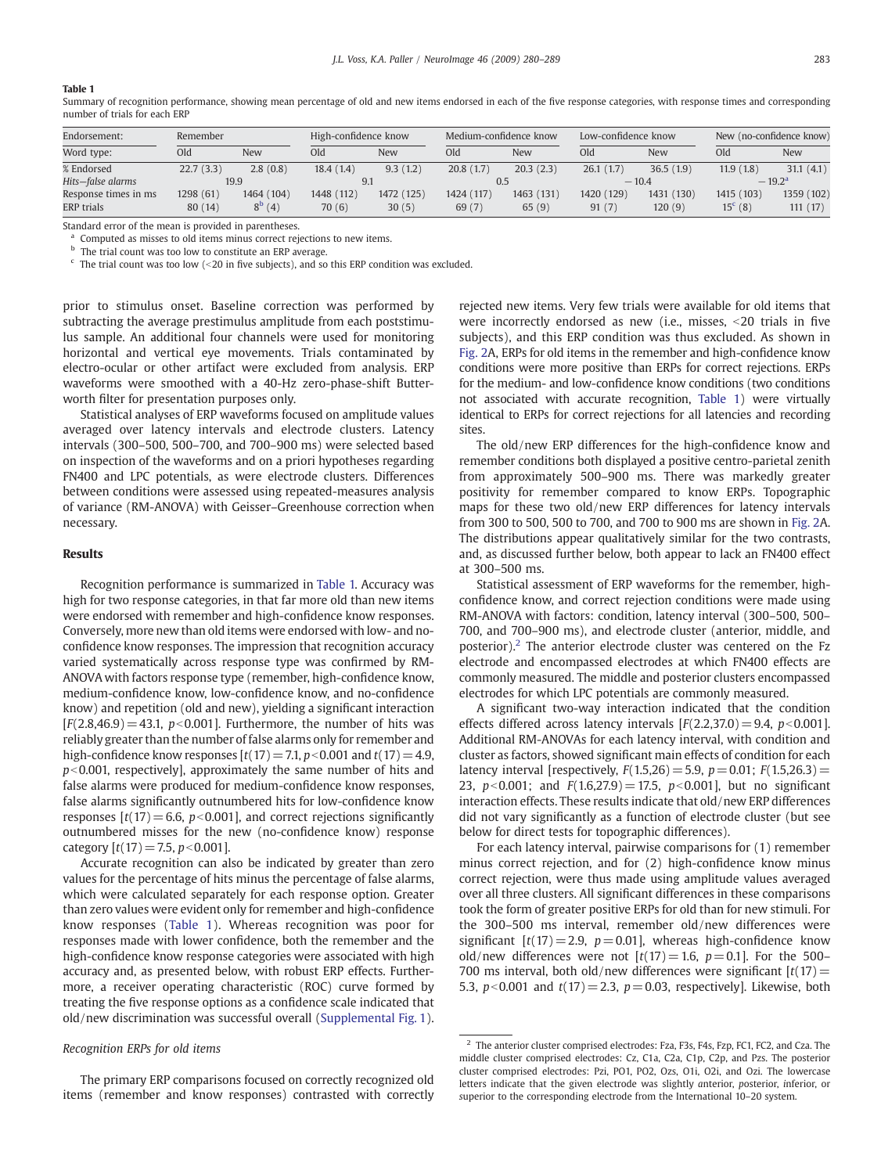#### <span id="page-3-0"></span>Table 1

Summary of recognition performance, showing mean percentage of old and new items endorsed in each of the five response categories, with response times and corresponding number of trials for each ERP

| Endorsement:         | Remember  |                 | High-confidence know |            | Medium-confidence know |            | Low-confidence know |            | New (no-confidence know) |            |
|----------------------|-----------|-----------------|----------------------|------------|------------------------|------------|---------------------|------------|--------------------------|------------|
| Word type:           | Old       | New             | Old                  | New        | Old                    | <b>New</b> | Old                 | <b>New</b> | Old                      | <b>New</b> |
| % Endorsed           | 22.7(3.3) | 2.8(0.8)        | 18.4(1.4)            | 9.3(1.2)   | 20.8(1.7)              | 20.3(2.3)  | 26.1(1.7)           | 36.5(1.9)  | 11.9(1.8)                | 31.1(4.1)  |
| Hits-false alarms    | 19.9      |                 |                      |            |                        |            | $-10.4$             |            | $-19.2^{\rm a}$          |            |
| Response times in ms | 1298 (61) | 1464 (104)      | 1448 (112)           | 1472 (125) | 1424 (117)             | 1463 (131) | 1420 (129)          | 1431 (130) | 1415 (103)               | 1359 (102) |
| <b>ERP</b> trials    | 80 (14)   | $8^{\rm b}$ (4) | 70 (6)               | 30(5)      | 69(7)                  | 65(9)      | 91(7)               | 120(9)     | $15^{\circ}$ (8)         | 111(17)    |

Standard error of the mean is provided in parentheses.

Computed as misses to old items minus correct rejections to new items.

**b** The trial count was too low to constitute an ERP average.

 $\epsilon$  The trial count was too low (<20 in five subjects), and so this ERP condition was excluded.

prior to stimulus onset. Baseline correction was performed by subtracting the average prestimulus amplitude from each poststimulus sample. An additional four channels were used for monitoring horizontal and vertical eye movements. Trials contaminated by electro-ocular or other artifact were excluded from analysis. ERP waveforms were smoothed with a 40-Hz zero-phase-shift Butterworth filter for presentation purposes only.

Statistical analyses of ERP waveforms focused on amplitude values averaged over latency intervals and electrode clusters. Latency intervals (300–500, 500–700, and 700–900 ms) were selected based on inspection of the waveforms and on a priori hypotheses regarding FN400 and LPC potentials, as were electrode clusters. Differences between conditions were assessed using repeated-measures analysis of variance (RM-ANOVA) with Geisser–Greenhouse correction when necessary.

#### Results

Recognition performance is summarized in Table 1. Accuracy was high for two response categories, in that far more old than new items were endorsed with remember and high-confidence know responses. Conversely, more new than old items were endorsed with low- and noconfidence know responses. The impression that recognition accuracy varied systematically across response type was confirmed by RM-ANOVA with factors response type (remember, high-confidence know, medium-confidence know, low-confidence know, and no-confidence know) and repetition (old and new), yielding a significant interaction  $[F(2.8, 46.9) = 43.1, p<0.001]$ . Furthermore, the number of hits was reliably greater than the number of false alarms only for remember and high-confidence know responses  $[t(17) = 7.1, p<0.001$  and  $t(17) = 4.9$ ,  $p$ <0.001, respectively], approximately the same number of hits and false alarms were produced for medium-confidence know responses, false alarms significantly outnumbered hits for low-confidence know responses  $[t(17) = 6.6, p<0.001]$ , and correct rejections significantly outnumbered misses for the new (no-confidence know) response category  $[t(17) = 7.5, p<0.001]$ .

Accurate recognition can also be indicated by greater than zero values for the percentage of hits minus the percentage of false alarms, which were calculated separately for each response option. Greater than zero values were evident only for remember and high-confidence know responses (Table 1). Whereas recognition was poor for responses made with lower confidence, both the remember and the high-confidence know response categories were associated with high accuracy and, as presented below, with robust ERP effects. Furthermore, a receiver operating characteristic (ROC) curve formed by treating the five response options as a confidence scale indicated that old/new discrimination was successful overall (Supplemental Fig. 1).

#### Recognition ERPs for old items

The primary ERP comparisons focused on correctly recognized old items (remember and know responses) contrasted with correctly rejected new items. Very few trials were available for old items that were incorrectly endorsed as new (i.e., misses,  $\leq$ 20 trials in five subjects), and this ERP condition was thus excluded. As shown in [Fig. 2A](#page-4-0), ERPs for old items in the remember and high-confidence know conditions were more positive than ERPs for correct rejections. ERPs for the medium- and low-confidence know conditions (two conditions not associated with accurate recognition, Table 1) were virtually identical to ERPs for correct rejections for all latencies and recording sites.

The old/new ERP differences for the high-confidence know and remember conditions both displayed a positive centro-parietal zenith from approximately 500–900 ms. There was markedly greater positivity for remember compared to know ERPs. Topographic maps for these two old/new ERP differences for latency intervals from 300 to 500, 500 to 700, and 700 to 900 ms are shown in [Fig. 2](#page-4-0)A. The distributions appear qualitatively similar for the two contrasts, and, as discussed further below, both appear to lack an FN400 effect at 300–500 ms.

Statistical assessment of ERP waveforms for the remember, highconfidence know, and correct rejection conditions were made using RM-ANOVA with factors: condition, latency interval (300–500, 500– 700, and 700–900 ms), and electrode cluster (anterior, middle, and posterior).2 The anterior electrode cluster was centered on the Fz electrode and encompassed electrodes at which FN400 effects are commonly measured. The middle and posterior clusters encompassed electrodes for which LPC potentials are commonly measured.

A significant two-way interaction indicated that the condition effects differed across latency intervals  $[F(2.2,37.0) = 9.4, p<0.001]$ . Additional RM-ANOVAs for each latency interval, with condition and cluster as factors, showed significant main effects of condition for each latency interval [respectively,  $F(1.5,26) = 5.9$ ,  $p = 0.01$ ;  $F(1.5,26.3) =$ 23,  $p<0.001$ ; and  $F(1.6,27.9) = 17.5$ ,  $p<0.001$ ], but no significant interaction effects. These results indicate that old/new ERP differences did not vary significantly as a function of electrode cluster (but see below for direct tests for topographic differences).

For each latency interval, pairwise comparisons for (1) remember minus correct rejection, and for (2) high-confidence know minus correct rejection, were thus made using amplitude values averaged over all three clusters. All significant differences in these comparisons took the form of greater positive ERPs for old than for new stimuli. For the 300–500 ms interval, remember old/new differences were significant  $[t(17) = 2.9, p = 0.01]$ , whereas high-confidence know old/new differences were not  $[t(17) = 1.6, p = 0.1]$ . For the 500– 700 ms interval, both old/new differences were significant  $[t(17)$  = 5.3,  $p < 0.001$  and  $t(17) = 2.3$ ,  $p = 0.03$ , respectively]. Likewise, both

 $<sup>2</sup>$  The anterior cluster comprised electrodes: Fza, F3s, F4s, Fzp, FC1, FC2, and Cza. The</sup> middle cluster comprised electrodes: Cz, C1a, C2a, C1p, C2p, and Pzs. The posterior cluster comprised electrodes: Pzi, PO1, PO2, Ozs, O1i, O2i, and Ozi. The lowercase letters indicate that the given electrode was slightly anterior, posterior, inferior, or superior to the corresponding electrode from the International 10–20 system.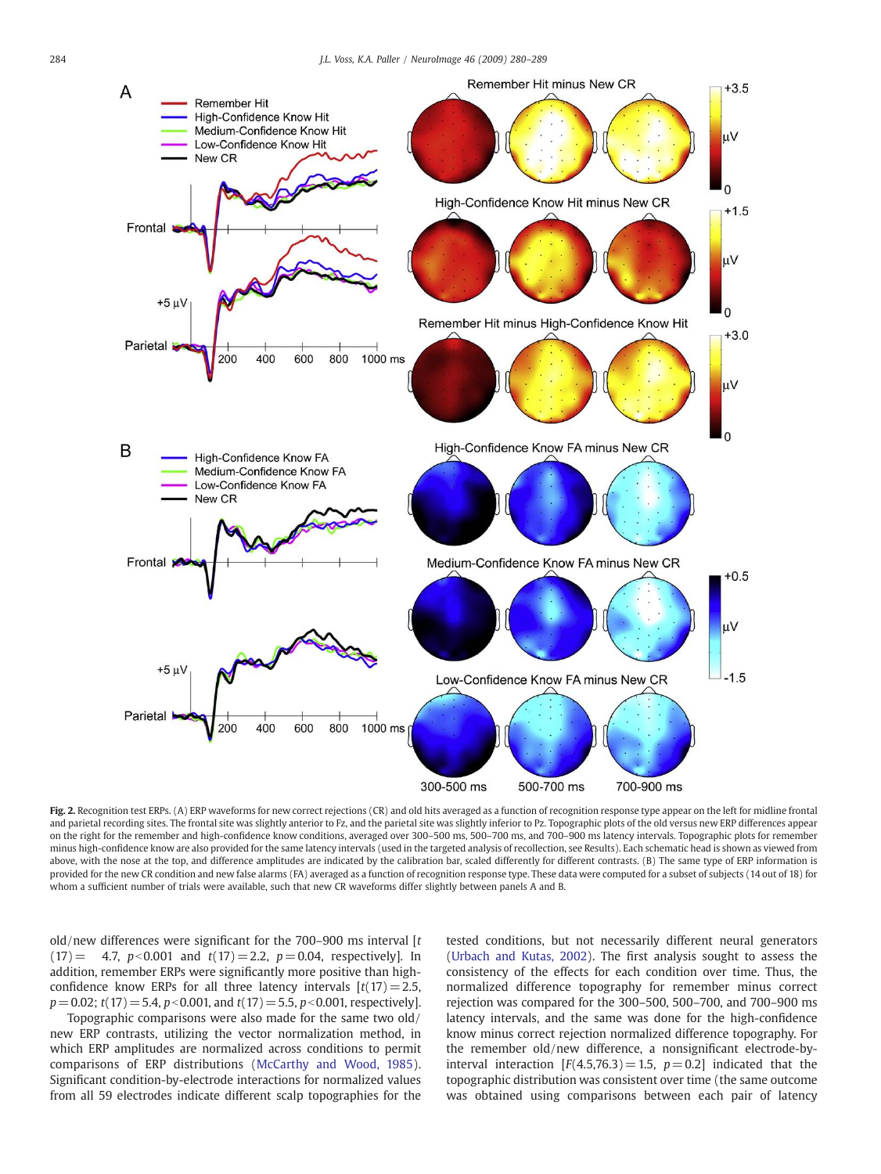<span id="page-4-0"></span>

Fig. 2. Recognition test ERPs. (A) ERP waveforms for new correct rejections (CR) and old hits averaged as a function of recognition response type appear on the left for midline frontal and parietal recording sites. The frontal site was slightly anterior to Fz, and the parietal site was slightly inferior to Pz. Topographic plots of the old versus new ERP differences appear on the right for the remember and high-confidence know conditions, averaged over 300–500 ms, 500–700 ms, and 700–900 ms latency intervals. Topographic plots for remember minus high-confidence know are also provided for the same latency intervals (used in the targeted analysis of recollection, see Results). Each schematic head is shown as viewed from above, with the nose at the top, and difference amplitudes are indicated by the calibration bar, scaled differently for different contrasts. (B) The same type of ERP information is provided for the new CR condition and new false alarms (FA) averaged as a function of recognition response type. These data were computed for a subset of subjects (14 out of 18) for whom a sufficient number of trials were available, such that new CR waveforms differ slightly between panels A and B.

old/new differences were significant for the 700–900 ms interval  $[t]$  $(17) = 4.7$ ,  $p < 0.001$  and  $t(17) = 2.2$ ,  $p = 0.04$ , respectively]. In addition, remember ERPs were significantly more positive than highconfidence know ERPs for all three latency intervals  $[t(17) = 2.5,$  $p= 0.02$ ; t(17) = 5.4, p < 0.001, and t(17) = 5.5, p < 0.001, respectively].

Topographic comparisons were also made for the same two old/ new ERP contrasts, utilizing the vector normalization method, in which ERP amplitudes are normalized across conditions to permit comparisons of ERP distributions [\(McCarthy and Wood, 1985](#page-9-0)). Significant condition-by-electrode interactions for normalized values from all 59 electrodes indicate different scalp topographies for the tested conditions, but not necessarily different neural generators [\(Urbach and Kutas, 2002](#page-9-0)). The first analysis sought to assess the consistency of the effects for each condition over time. Thus, the normalized difference topography for remember minus correct rejection was compared for the 300–500, 500–700, and 700–900 ms latency intervals, and the same was done for the high-confidence know minus correct rejection normalized difference topography. For the remember old/new difference, a nonsignificant electrode-byinterval interaction  $[F(4.5,76.3) = 1.5, p = 0.2]$  indicated that the topographic distribution was consistent over time (the same outcome was obtained using comparisons between each pair of latency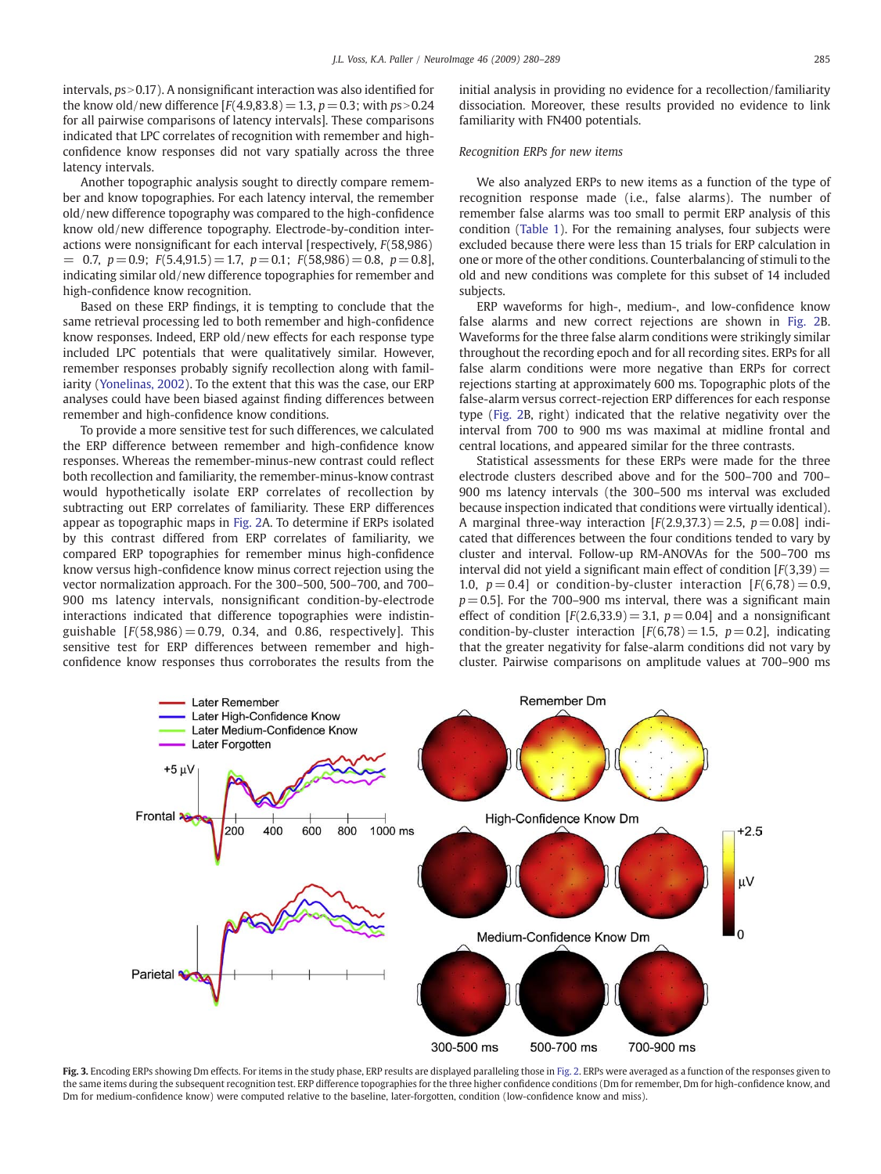<span id="page-5-0"></span>intervals,  $ps > 0.17$ ). A nonsignificant interaction was also identified for the know old/new difference  $[F(4.9,83.8) = 1.3, p = 0.3;$  with  $ps > 0.24$ for all pairwise comparisons of latency intervals]. These comparisons indicated that LPC correlates of recognition with remember and highconfidence know responses did not vary spatially across the three latency intervals.

Another topographic analysis sought to directly compare remember and know topographies. For each latency interval, the remember old/new difference topography was compared to the high-confidence know old/new difference topography. Electrode-by-condition interactions were nonsignificant for each interval [respectively, F(58,986)  $= 0.7, p = 0.9; F(5.4, 91.5) = 1.7, p = 0.1; F(58, 986) = 0.8, p = 0.8$ indicating similar old/new difference topographies for remember and high-confidence know recognition.

Based on these ERP findings, it is tempting to conclude that the same retrieval processing led to both remember and high-confidence know responses. Indeed, ERP old/new effects for each response type included LPC potentials that were qualitatively similar. However, remember responses probably signify recollection along with familiarity [\(Yonelinas, 2002\)](#page-9-0). To the extent that this was the case, our ERP analyses could have been biased against finding differences between remember and high-confidence know conditions.

To provide a more sensitive test for such differences, we calculated the ERP difference between remember and high-confidence know responses. Whereas the remember-minus-new contrast could reflect both recollection and familiarity, the remember-minus-know contrast would hypothetically isolate ERP correlates of recollection by subtracting out ERP correlates of familiarity. These ERP differences appear as topographic maps in [Fig. 2](#page-4-0)A. To determine if ERPs isolated by this contrast differed from ERP correlates of familiarity, we compared ERP topographies for remember minus high-confidence know versus high-confidence know minus correct rejection using the vector normalization approach. For the 300–500, 500–700, and 700– 900 ms latency intervals, nonsignificant condition-by-electrode interactions indicated that difference topographies were indistinguishable  $[F(58,986) = 0.79, 0.34,$  and 0.86, respectively]. This sensitive test for ERP differences between remember and highconfidence know responses thus corroborates the results from the initial analysis in providing no evidence for a recollection/familiarity dissociation. Moreover, these results provided no evidence to link familiarity with FN400 potentials.

#### Recognition ERPs for new items

We also analyzed ERPs to new items as a function of the type of recognition response made (i.e., false alarms). The number of remember false alarms was too small to permit ERP analysis of this condition ([Table 1\)](#page-3-0). For the remaining analyses, four subjects were excluded because there were less than 15 trials for ERP calculation in one or more of the other conditions. Counterbalancing of stimuli to the old and new conditions was complete for this subset of 14 included subjects.

ERP waveforms for high-, medium-, and low-confidence know false alarms and new correct rejections are shown in [Fig. 2B](#page-4-0). Waveforms for the three false alarm conditions were strikingly similar throughout the recording epoch and for all recording sites. ERPs for all false alarm conditions were more negative than ERPs for correct rejections starting at approximately 600 ms. Topographic plots of the false-alarm versus correct-rejection ERP differences for each response type ([Fig. 2](#page-4-0)B, right) indicated that the relative negativity over the interval from 700 to 900 ms was maximal at midline frontal and central locations, and appeared similar for the three contrasts.

Statistical assessments for these ERPs were made for the three electrode clusters described above and for the 500–700 and 700– 900 ms latency intervals (the 300–500 ms interval was excluded because inspection indicated that conditions were virtually identical). A marginal three-way interaction  $[F(2.9,37.3) = 2.5, p = 0.08]$  indicated that differences between the four conditions tended to vary by cluster and interval. Follow-up RM-ANOVAs for the 500–700 ms interval did not yield a significant main effect of condition  $[F(3,39)]=$ 1.0,  $p = 0.4$  or condition-by-cluster interaction  $F(6,78) = 0.9$ ,  $p= 0.5$ ]. For the 700–900 ms interval, there was a significant main effect of condition  $[F(2.6,33.9) = 3.1, p = 0.04]$  and a nonsignificant condition-by-cluster interaction  $[F(6,78) = 1.5, p= 0.2]$ , indicating that the greater negativity for false-alarm conditions did not vary by cluster. Pairwise comparisons on amplitude values at 700–900 ms



Fig. 3. Encoding ERPs showing Dm effects. For items in the study phase, ERP results are displayed paralleling those in [Fig. 2.](#page-4-0) ERPs were averaged as a function of the responses given to the same items during the subsequent recognition test. ERP difference topographies for the three higher confidence conditions (Dm for remember, Dm for high-confidence know, and Dm for medium-confidence know) were computed relative to the baseline, later-forgotten, condition (low-confidence know and miss).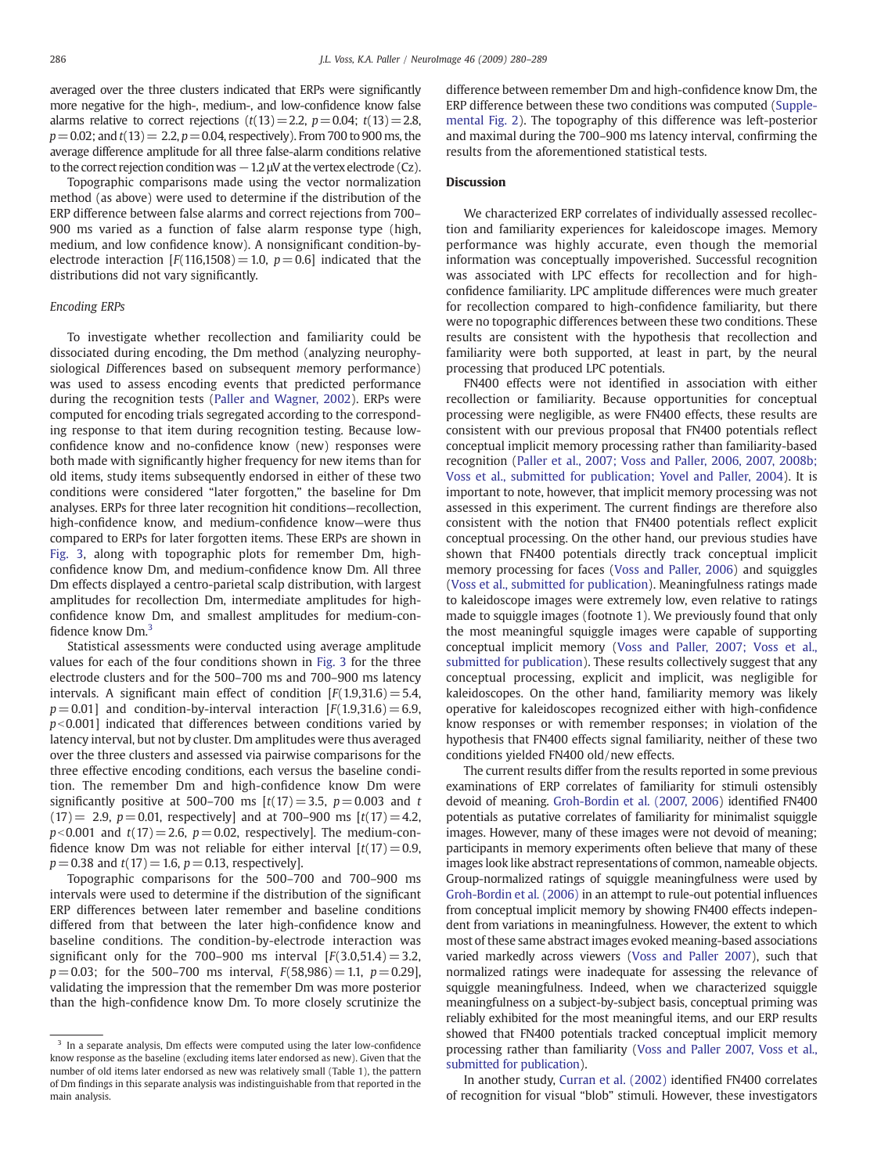averaged over the three clusters indicated that ERPs were significantly more negative for the high-, medium-, and low-confidence know false alarms relative to correct rejections  $(t(13)=2.2, p=0.04; t(13)=2.8,$  $p=0.02$ ; and  $t(13)= 2.2$ ,  $p=0.04$ , respectively). From 700 to 900 ms, the average difference amplitude for all three false-alarm conditions relative to the correct rejection condition was  $-1.2$   $\mu$ V at the vertex electrode (Cz).

Topographic comparisons made using the vector normalization method (as above) were used to determine if the distribution of the ERP difference between false alarms and correct rejections from 700– 900 ms varied as a function of false alarm response type (high, medium, and low confidence know). A nonsignificant condition-byelectrode interaction  $[F(116,1508) = 1.0, p = 0.6]$  indicated that the distributions did not vary significantly.

### Encoding ERPs

To investigate whether recollection and familiarity could be dissociated during encoding, the Dm method (analyzing neurophysiological Differences based on subsequent memory performance) was used to assess encoding events that predicted performance during the recognition tests ([Paller and Wagner, 2002](#page-9-0)). ERPs were computed for encoding trials segregated according to the corresponding response to that item during recognition testing. Because lowconfidence know and no-confidence know (new) responses were both made with significantly higher frequency for new items than for old items, study items subsequently endorsed in either of these two conditions were considered "later forgotten," the baseline for Dm analyses. ERPs for three later recognition hit conditions—recollection, high-confidence know, and medium-confidence know—were thus compared to ERPs for later forgotten items. These ERPs are shown in [Fig. 3](#page-5-0), along with topographic plots for remember Dm, highconfidence know Dm, and medium-confidence know Dm. All three Dm effects displayed a centro-parietal scalp distribution, with largest amplitudes for recollection Dm, intermediate amplitudes for highconfidence know Dm, and smallest amplitudes for medium-confidence know Dm.3

Statistical assessments were conducted using average amplitude values for each of the four conditions shown in [Fig. 3](#page-5-0) for the three electrode clusters and for the 500–700 ms and 700–900 ms latency intervals. A significant main effect of condition  $[F(1.9,31.6) = 5.4,$  $p = 0.01$ ] and condition-by-interval interaction  $[F(1.9,31.6) = 6.9,$  $p$ <0.001] indicated that differences between conditions varied by latency interval, but not by cluster. Dm amplitudes were thus averaged over the three clusters and assessed via pairwise comparisons for the three effective encoding conditions, each versus the baseline condition. The remember Dm and high-confidence know Dm were significantly positive at 500–700 ms  $[t(17) = 3.5, p = 0.003$  and t  $(17) = 2.9, p = 0.01$ , respectively] and at 700–900 ms  $[t(17) = 4.2,$  $p<0.001$  and  $t(17)= 2.6$ ,  $p= 0.02$ , respectively]. The medium-confidence know Dm was not reliable for either interval  $[t(17) = 0.9,$  $p = 0.38$  and  $t(17) = 1.6$ ,  $p = 0.13$ , respectively].

Topographic comparisons for the 500–700 and 700–900 ms intervals were used to determine if the distribution of the significant ERP differences between later remember and baseline conditions differed from that between the later high-confidence know and baseline conditions. The condition-by-electrode interaction was significant only for the 700–900 ms interval  $[F(3.0,51.4) = 3.2,$  $p = 0.03$ ; for the 500-700 ms interval,  $F(58,986) = 1.1$ ,  $p = 0.29$ ], validating the impression that the remember Dm was more posterior than the high-confidence know Dm. To more closely scrutinize the difference between remember Dm and high-confidence know Dm, the ERP difference between these two conditions was computed (Supplemental Fig. 2). The topography of this difference was left-posterior and maximal during the 700–900 ms latency interval, confirming the results from the aforementioned statistical tests.

#### **Discussion**

We characterized ERP correlates of individually assessed recollection and familiarity experiences for kaleidoscope images. Memory performance was highly accurate, even though the memorial information was conceptually impoverished. Successful recognition was associated with LPC effects for recollection and for highconfidence familiarity. LPC amplitude differences were much greater for recollection compared to high-confidence familiarity, but there were no topographic differences between these two conditions. These results are consistent with the hypothesis that recollection and familiarity were both supported, at least in part, by the neural processing that produced LPC potentials.

FN400 effects were not identified in association with either recollection or familiarity. Because opportunities for conceptual processing were negligible, as were FN400 effects, these results are consistent with our previous proposal that FN400 potentials reflect conceptual implicit memory processing rather than familiarity-based recognition ([Paller et al., 2007; Voss and Paller, 2006, 2007, 2008b;](#page-9-0) [Voss et al., submitted for publication; Yovel and Paller, 2004\)](#page-9-0). It is important to note, however, that implicit memory processing was not assessed in this experiment. The current findings are therefore also consistent with the notion that FN400 potentials reflect explicit conceptual processing. On the other hand, our previous studies have shown that FN400 potentials directly track conceptual implicit memory processing for faces ([Voss and Paller, 2006\)](#page-9-0) and squiggles [\(Voss et al., submitted for publication](#page-9-0)). Meaningfulness ratings made to kaleidoscope images were extremely low, even relative to ratings made to squiggle images (footnote 1). We previously found that only the most meaningful squiggle images were capable of supporting conceptual implicit memory ([Voss and Paller, 2007; Voss et al.,](#page-9-0) [submitted for publication](#page-9-0)). These results collectively suggest that any conceptual processing, explicit and implicit, was negligible for kaleidoscopes. On the other hand, familiarity memory was likely operative for kaleidoscopes recognized either with high-confidence know responses or with remember responses; in violation of the hypothesis that FN400 effects signal familiarity, neither of these two conditions yielded FN400 old/new effects.

The current results differ from the results reported in some previous examinations of ERP correlates of familiarity for stimuli ostensibly devoid of meaning. [Groh-Bordin et al. \(2007, 2006](#page-9-0)) identified FN400 potentials as putative correlates of familiarity for minimalist squiggle images. However, many of these images were not devoid of meaning; participants in memory experiments often believe that many of these images look like abstract representations of common, nameable objects. Group-normalized ratings of squiggle meaningfulness were used by [Groh-Bordin et al. \(2006\)](#page-9-0) in an attempt to rule-out potential influences from conceptual implicit memory by showing FN400 effects independent from variations in meaningfulness. However, the extent to which most of these same abstract images evoked meaning-based associations varied markedly across viewers ([Voss and Paller 2007](#page-9-0)), such that normalized ratings were inadequate for assessing the relevance of squiggle meaningfulness. Indeed, when we characterized squiggle meaningfulness on a subject-by-subject basis, conceptual priming was reliably exhibited for the most meaningful items, and our ERP results showed that FN400 potentials tracked conceptual implicit memory processing rather than familiarity [\(Voss and Paller 2007, Voss et al.,](#page-9-0) [submitted for publication](#page-9-0)).

In another study, [Curran et al. \(2002\)](#page-8-0) identified FN400 correlates of recognition for visual "blob" stimuli. However, these investigators

 $3$  In a separate analysis, Dm effects were computed using the later low-confidence know response as the baseline (excluding items later endorsed as new). Given that the number of old items later endorsed as new was relatively small (Table 1), the pattern of Dm findings in this separate analysis was indistinguishable from that reported in the main analysis.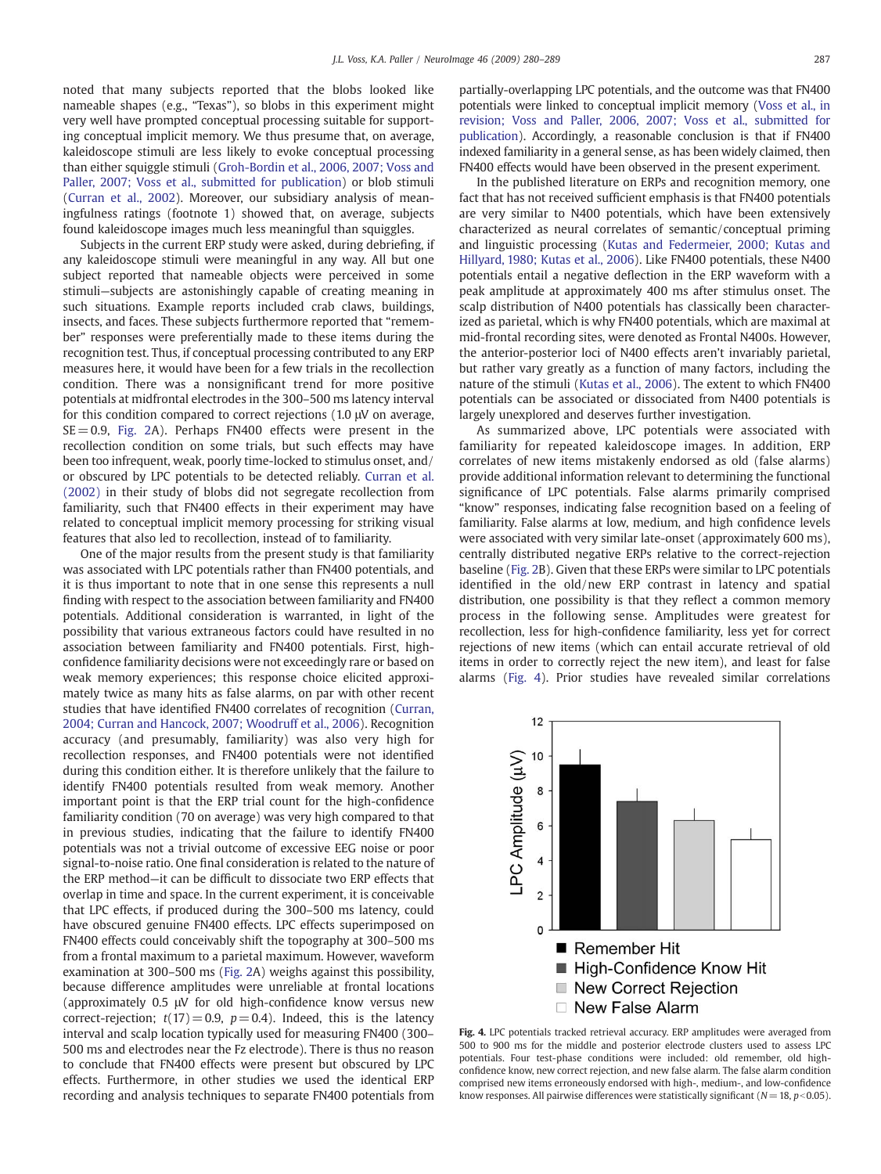noted that many subjects reported that the blobs looked like nameable shapes (e.g., "Texas"), so blobs in this experiment might very well have prompted conceptual processing suitable for supporting conceptual implicit memory. We thus presume that, on average, kaleidoscope stimuli are less likely to evoke conceptual processing than either squiggle stimuli ([Groh-Bordin et al., 2006, 2007; Voss and](#page-9-0) [Paller, 2007; Voss et al., submitted for publication\)](#page-9-0) or blob stimuli [\(Curran et al., 2002\)](#page-8-0). Moreover, our subsidiary analysis of meaningfulness ratings (footnote 1) showed that, on average, subjects found kaleidoscope images much less meaningful than squiggles.

Subjects in the current ERP study were asked, during debriefing, if any kaleidoscope stimuli were meaningful in any way. All but one subject reported that nameable objects were perceived in some stimuli—subjects are astonishingly capable of creating meaning in such situations. Example reports included crab claws, buildings, insects, and faces. These subjects furthermore reported that "remember" responses were preferentially made to these items during the recognition test. Thus, if conceptual processing contributed to any ERP measures here, it would have been for a few trials in the recollection condition. There was a nonsignificant trend for more positive potentials at midfrontal electrodes in the 300–500 ms latency interval for this condition compared to correct rejections (1.0 μV on average,  $SE = 0.9$ , [Fig. 2](#page-4-0)A). Perhaps FN400 effects were present in the recollection condition on some trials, but such effects may have been too infrequent, weak, poorly time-locked to stimulus onset, and/ or obscured by LPC potentials to be detected reliably. [Curran et al.](#page-8-0) [\(2002\)](#page-8-0) in their study of blobs did not segregate recollection from familiarity, such that FN400 effects in their experiment may have related to conceptual implicit memory processing for striking visual features that also led to recollection, instead of to familiarity.

One of the major results from the present study is that familiarity was associated with LPC potentials rather than FN400 potentials, and it is thus important to note that in one sense this represents a null finding with respect to the association between familiarity and FN400 potentials. Additional consideration is warranted, in light of the possibility that various extraneous factors could have resulted in no association between familiarity and FN400 potentials. First, highconfidence familiarity decisions were not exceedingly rare or based on weak memory experiences; this response choice elicited approximately twice as many hits as false alarms, on par with other recent studies that have identified FN400 correlates of recognition [\(Curran,](#page-8-0) [2004; Curran and Hancock, 2007; Woodruff et al., 2006](#page-8-0)). Recognition accuracy (and presumably, familiarity) was also very high for recollection responses, and FN400 potentials were not identified during this condition either. It is therefore unlikely that the failure to identify FN400 potentials resulted from weak memory. Another important point is that the ERP trial count for the high-confidence familiarity condition (70 on average) was very high compared to that in previous studies, indicating that the failure to identify FN400 potentials was not a trivial outcome of excessive EEG noise or poor signal-to-noise ratio. One final consideration is related to the nature of the ERP method—it can be difficult to dissociate two ERP effects that overlap in time and space. In the current experiment, it is conceivable that LPC effects, if produced during the 300–500 ms latency, could have obscured genuine FN400 effects. LPC effects superimposed on FN400 effects could conceivably shift the topography at 300–500 ms from a frontal maximum to a parietal maximum. However, waveform examination at 300–500 ms ([Fig. 2](#page-4-0)A) weighs against this possibility, because difference amplitudes were unreliable at frontal locations (approximately 0.5 μV for old high-confidence know versus new correct-rejection;  $t(17) = 0.9$ ,  $p = 0.4$ ). Indeed, this is the latency interval and scalp location typically used for measuring FN400 (300– 500 ms and electrodes near the Fz electrode). There is thus no reason to conclude that FN400 effects were present but obscured by LPC effects. Furthermore, in other studies we used the identical ERP recording and analysis techniques to separate FN400 potentials from partially-overlapping LPC potentials, and the outcome was that FN400 potentials were linked to conceptual implicit memory ([Voss et al., in](#page-9-0) [revision; Voss and Paller, 2006, 2007; Voss et al., submitted for](#page-9-0) [publication](#page-9-0)). Accordingly, a reasonable conclusion is that if FN400 indexed familiarity in a general sense, as has been widely claimed, then FN400 effects would have been observed in the present experiment.

In the published literature on ERPs and recognition memory, one fact that has not received sufficient emphasis is that FN400 potentials are very similar to N400 potentials, which have been extensively characterized as neural correlates of semantic/conceptual priming and linguistic processing ([Kutas and Federmeier, 2000; Kutas and](#page-9-0) [Hillyard, 1980; Kutas et al., 2006\)](#page-9-0). Like FN400 potentials, these N400 potentials entail a negative deflection in the ERP waveform with a peak amplitude at approximately 400 ms after stimulus onset. The scalp distribution of N400 potentials has classically been characterized as parietal, which is why FN400 potentials, which are maximal at mid-frontal recording sites, were denoted as Frontal N400s. However, the anterior-posterior loci of N400 effects aren't invariably parietal, but rather vary greatly as a function of many factors, including the nature of the stimuli ([Kutas et al., 2006\)](#page-9-0). The extent to which FN400 potentials can be associated or dissociated from N400 potentials is largely unexplored and deserves further investigation.

As summarized above, LPC potentials were associated with familiarity for repeated kaleidoscope images. In addition, ERP correlates of new items mistakenly endorsed as old (false alarms) provide additional information relevant to determining the functional significance of LPC potentials. False alarms primarily comprised "know" responses, indicating false recognition based on a feeling of familiarity. False alarms at low, medium, and high confidence levels were associated with very similar late-onset (approximately 600 ms), centrally distributed negative ERPs relative to the correct-rejection baseline ([Fig. 2](#page-4-0)B). Given that these ERPs were similar to LPC potentials identified in the old/new ERP contrast in latency and spatial distribution, one possibility is that they reflect a common memory process in the following sense. Amplitudes were greatest for recollection, less for high-confidence familiarity, less yet for correct rejections of new items (which can entail accurate retrieval of old items in order to correctly reject the new item), and least for false alarms (Fig. 4). Prior studies have revealed similar correlations



Fig. 4. LPC potentials tracked retrieval accuracy. ERP amplitudes were averaged from 500 to 900 ms for the middle and posterior electrode clusters used to assess LPC potentials. Four test-phase conditions were included: old remember, old highconfidence know, new correct rejection, and new false alarm. The false alarm condition comprised new items erroneously endorsed with high-, medium-, and low-confidence know responses. All pairwise differences were statistically significant  $(N = 18, p < 0.05)$ .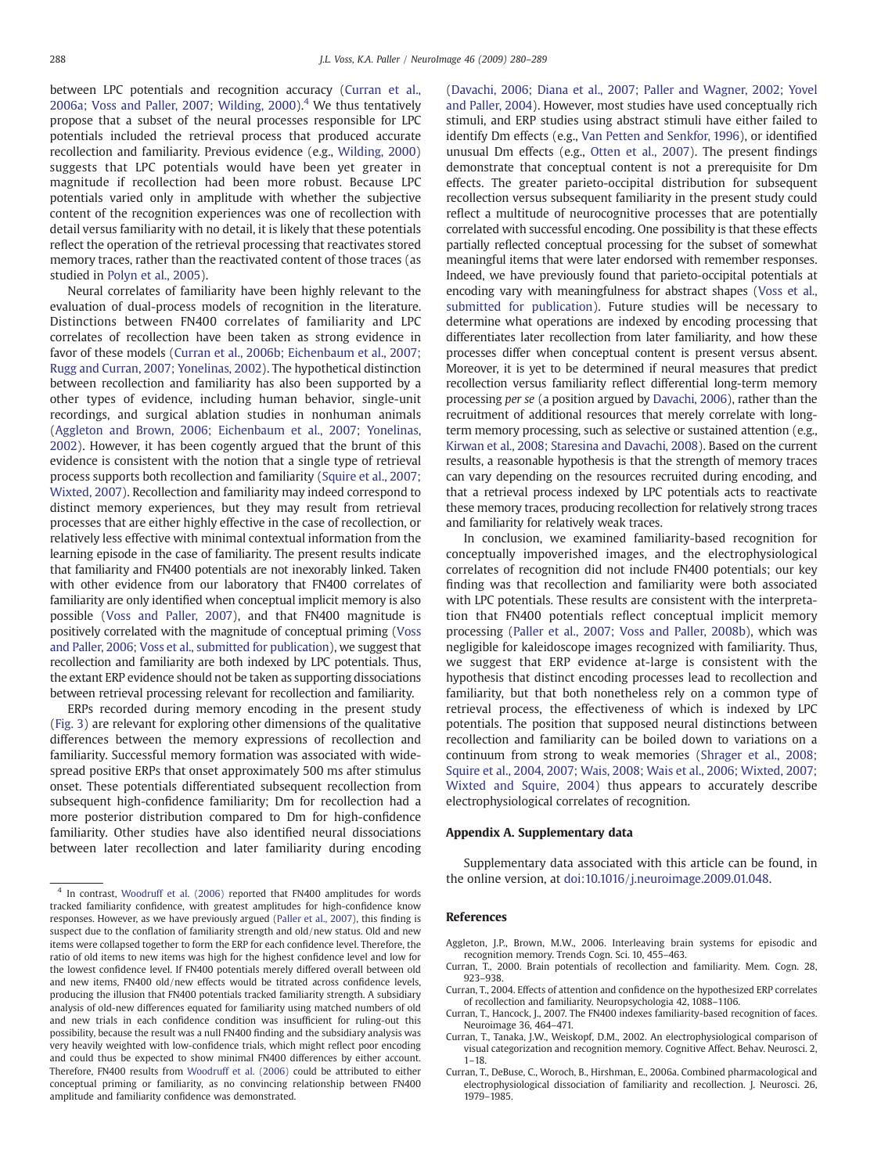<span id="page-8-0"></span>between LPC potentials and recognition accuracy (Curran et al., 2006a; Voss and Paller, 2007; Wilding, 2000).<sup>4</sup> We thus tentatively propose that a subset of the neural processes responsible for LPC potentials included the retrieval process that produced accurate recollection and familiarity. Previous evidence (e.g., [Wilding, 2000](#page-9-0)) suggests that LPC potentials would have been yet greater in magnitude if recollection had been more robust. Because LPC potentials varied only in amplitude with whether the subjective content of the recognition experiences was one of recollection with detail versus familiarity with no detail, it is likely that these potentials reflect the operation of the retrieval processing that reactivates stored memory traces, rather than the reactivated content of those traces (as studied in [Polyn et al., 2005\)](#page-9-0).

Neural correlates of familiarity have been highly relevant to the evaluation of dual-process models of recognition in the literature. Distinctions between FN400 correlates of familiarity and LPC correlates of recollection have been taken as strong evidence in favor of these models ([Curran et al., 2006b; Eichenbaum et al., 2007;](#page-9-0) [Rugg and Curran, 2007; Yonelinas, 2002\)](#page-9-0). The hypothetical distinction between recollection and familiarity has also been supported by a other types of evidence, including human behavior, single-unit recordings, and surgical ablation studies in nonhuman animals (Aggleton and Brown, 2006; Eichenbaum et al., 2007; Yonelinas, 2002). However, it has been cogently argued that the brunt of this evidence is consistent with the notion that a single type of retrieval process supports both recollection and familiarity ([Squire et al., 2007;](#page-9-0) [Wixted, 2007](#page-9-0)). Recollection and familiarity may indeed correspond to distinct memory experiences, but they may result from retrieval processes that are either highly effective in the case of recollection, or relatively less effective with minimal contextual information from the learning episode in the case of familiarity. The present results indicate that familiarity and FN400 potentials are not inexorably linked. Taken with other evidence from our laboratory that FN400 correlates of familiarity are only identified when conceptual implicit memory is also possible ([Voss and Paller, 2007](#page-9-0)), and that FN400 magnitude is positively correlated with the magnitude of conceptual priming [\(Voss](#page-9-0) [and Paller, 2006; Voss et al., submitted for publication\)](#page-9-0), we suggest that recollection and familiarity are both indexed by LPC potentials. Thus, the extant ERP evidence should not be taken as supporting dissociations between retrieval processing relevant for recollection and familiarity.

ERPs recorded during memory encoding in the present study [\(Fig. 3\)](#page-5-0) are relevant for exploring other dimensions of the qualitative differences between the memory expressions of recollection and familiarity. Successful memory formation was associated with widespread positive ERPs that onset approximately 500 ms after stimulus onset. These potentials differentiated subsequent recollection from subsequent high-confidence familiarity; Dm for recollection had a more posterior distribution compared to Dm for high-confidence familiarity. Other studies have also identified neural dissociations between later recollection and later familiarity during encoding [\(Davachi, 2006; Diana et al., 2007; Paller and Wagner, 2002; Yovel](#page-9-0) [and Paller, 2004](#page-9-0)). However, most studies have used conceptually rich stimuli, and ERP studies using abstract stimuli have either failed to identify Dm effects (e.g., [Van Petten and Senkfor, 1996](#page-9-0)), or identified unusual Dm effects (e.g., [Otten et al., 2007](#page-9-0)). The present findings demonstrate that conceptual content is not a prerequisite for Dm effects. The greater parieto-occipital distribution for subsequent recollection versus subsequent familiarity in the present study could reflect a multitude of neurocognitive processes that are potentially correlated with successful encoding. One possibility is that these effects partially reflected conceptual processing for the subset of somewhat meaningful items that were later endorsed with remember responses. Indeed, we have previously found that parieto-occipital potentials at encoding vary with meaningfulness for abstract shapes ([Voss et al.,](#page-9-0) [submitted for publication\)](#page-9-0). Future studies will be necessary to determine what operations are indexed by encoding processing that differentiates later recollection from later familiarity, and how these processes differ when conceptual content is present versus absent. Moreover, it is yet to be determined if neural measures that predict recollection versus familiarity reflect differential long-term memory processing per se (a position argued by [Davachi, 2006\)](#page-9-0), rather than the recruitment of additional resources that merely correlate with longterm memory processing, such as selective or sustained attention (e.g., [Kirwan et al., 2008; Staresina and Davachi, 2008](#page-9-0)). Based on the current results, a reasonable hypothesis is that the strength of memory traces can vary depending on the resources recruited during encoding, and that a retrieval process indexed by LPC potentials acts to reactivate these memory traces, producing recollection for relatively strong traces and familiarity for relatively weak traces.

In conclusion, we examined familiarity-based recognition for conceptually impoverished images, and the electrophysiological correlates of recognition did not include FN400 potentials; our key finding was that recollection and familiarity were both associated with LPC potentials. These results are consistent with the interpretation that FN400 potentials reflect conceptual implicit memory processing [\(Paller et al., 2007; Voss and Paller, 2008b](#page-9-0)), which was negligible for kaleidoscope images recognized with familiarity. Thus, we suggest that ERP evidence at-large is consistent with the hypothesis that distinct encoding processes lead to recollection and familiarity, but that both nonetheless rely on a common type of retrieval process, the effectiveness of which is indexed by LPC potentials. The position that supposed neural distinctions between recollection and familiarity can be boiled down to variations on a continuum from strong to weak memories [\(Shrager et al., 2008;](#page-9-0) [Squire et al., 2004, 2007; Wais, 2008; Wais et al., 2006; Wixted, 2007;](#page-9-0) [Wixted and Squire, 2004](#page-9-0)) thus appears to accurately describe electrophysiological correlates of recognition.

#### Appendix A. Supplementary data

Supplementary data associated with this article can be found, in the online version, at [doi:10.1016/j.neuroimage.2009.01.048](http://dx.doi.org/10.1016/j.neuroimage.2009.01.048).

#### References

- Aggleton, J.P., Brown, M.W., 2006. Interleaving brain systems for episodic and recognition memory. Trends Cogn. Sci. 10, 455–463.
- Curran, T., 2000. Brain potentials of recollection and familiarity. Mem. Cogn. 28, 923–938.
- Curran, T., 2004. Effects of attention and confidence on the hypothesized ERP correlates of recollection and familiarity. Neuropsychologia 42, 1088–1106.
- Curran, T., Hancock, J., 2007. The FN400 indexes familiarity-based recognition of faces. Neuroimage 36, 464–471.
- Curran, T., Tanaka, J.W., Weiskopf, D.M., 2002. An electrophysiological comparison of visual categorization and recognition memory. Cognitive Affect. Behav. Neurosci. 2, 1–18.
- Curran, T., DeBuse, C., Woroch, B., Hirshman, E., 2006a. Combined pharmacological and electrophysiological dissociation of familiarity and recollection. J. Neurosci. 26, 1979–1985.

<sup>&</sup>lt;sup>4</sup> In contrast, [Woodruff et al. \(2006\)](#page-9-0) reported that FN400 amplitudes for words tracked familiarity confidence, with greatest amplitudes for high-confidence know responses. However, as we have previously argued [\(Paller et al., 2007](#page-9-0)), this finding is suspect due to the conflation of familiarity strength and old/new status. Old and new items were collapsed together to form the ERP for each confidence level. Therefore, the ratio of old items to new items was high for the highest confidence level and low for the lowest confidence level. If FN400 potentials merely differed overall between old and new items, FN400 old/new effects would be titrated across confidence levels, producing the illusion that FN400 potentials tracked familiarity strength. A subsidiary analysis of old-new differences equated for familiarity using matched numbers of old and new trials in each confidence condition was insufficient for ruling-out this possibility, because the result was a null FN400 finding and the subsidiary analysis was very heavily weighted with low-confidence trials, which might reflect poor encoding and could thus be expected to show minimal FN400 differences by either account. Therefore, FN400 results from [Woodruff et al. \(2006\)](#page-9-0) could be attributed to either conceptual priming or familiarity, as no convincing relationship between FN400 amplitude and familiarity confidence was demonstrated.